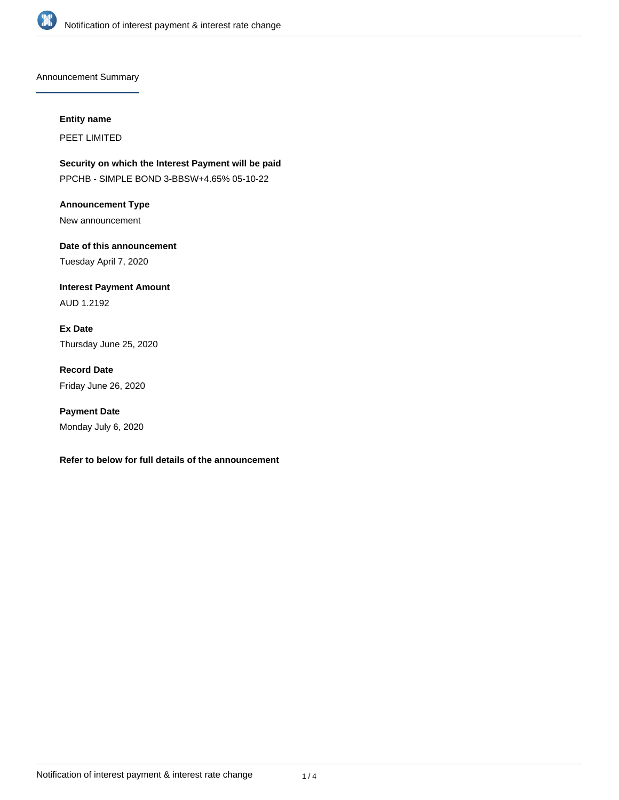

Announcement Summary

#### **Entity name**

PEET LIMITED

**Security on which the Interest Payment will be paid** PPCHB - SIMPLE BOND 3-BBSW+4.65% 05-10-22

**Announcement Type** New announcement

**Date of this announcement** Tuesday April 7, 2020

**Interest Payment Amount** AUD 1.2192

**Ex Date** Thursday June 25, 2020

**Record Date** Friday June 26, 2020

**Payment Date** Monday July 6, 2020

### **Refer to below for full details of the announcement**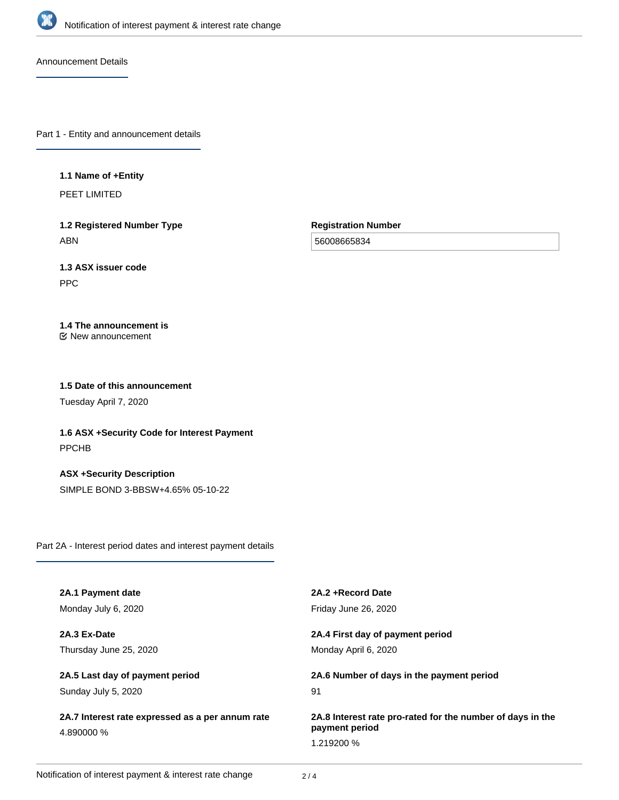

Announcement Details

Part 1 - Entity and announcement details

### **1.1 Name of +Entity**

PEET LIMITED

**1.2 Registered Number Type** ABN

**Registration Number**

56008665834

# **1.3 ASX issuer code**

PPC

## **1.4 The announcement is**

New announcement

### **1.5 Date of this announcement**

Tuesday April 7, 2020

**1.6 ASX +Security Code for Interest Payment** PPCHB

**ASX +Security Description** SIMPLE BOND 3-BBSW+4.65% 05-10-22

Part 2A - Interest period dates and interest payment details

| 2A.1 Payment date                                | 2A.2 + Record Date                                         |
|--------------------------------------------------|------------------------------------------------------------|
| Monday July 6, 2020                              | Friday June 26, 2020                                       |
| 2A.3 Ex-Date                                     | 2A.4 First day of payment period                           |
| Thursday June 25, 2020                           | Monday April 6, 2020                                       |
| 2A.5 Last day of payment period                  | 2A.6 Number of days in the payment period                  |
| Sunday July 5, 2020                              | 91                                                         |
| 2A.7 Interest rate expressed as a per annum rate | 2A.8 Interest rate pro-rated for the number of days in the |
| 4.890000 %                                       | payment period                                             |
|                                                  | 1.219200 %                                                 |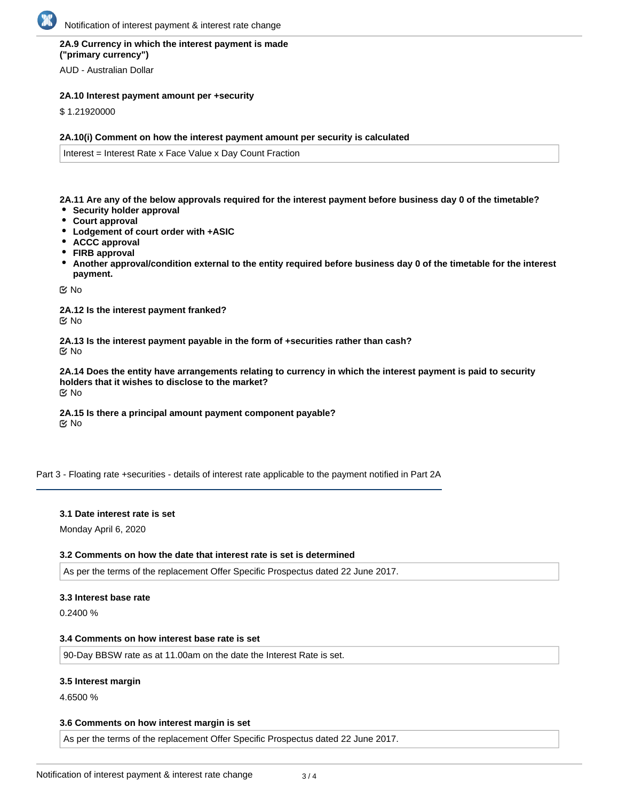### **2A.9 Currency in which the interest payment is made ("primary currency")**

AUD - Australian Dollar

### **2A.10 Interest payment amount per +security**

\$ 1.21920000

### **2A.10(i) Comment on how the interest payment amount per security is calculated**

Interest = Interest Rate x Face Value x Day Count Fraction

**2A.11 Are any of the below approvals required for the interest payment before business day 0 of the timetable?**

- **Security holder approval**
- **Court approval**
- **Lodgement of court order with +ASIC**
- **ACCC approval**
- **FIRB approval**
- **Another approval/condition external to the entity required before business day 0 of the timetable for the interest payment.**

No

**2A.12 Is the interest payment franked?** No

**2A.13 Is the interest payment payable in the form of +securities rather than cash?** No

**2A.14 Does the entity have arrangements relating to currency in which the interest payment is paid to security holders that it wishes to disclose to the market?** No

**2A.15 Is there a principal amount payment component payable? K** No

Part 3 - Floating rate +securities - details of interest rate applicable to the payment notified in Part 2A

### **3.1 Date interest rate is set**

Monday April 6, 2020

### **3.2 Comments on how the date that interest rate is set is determined**

As per the terms of the replacement Offer Specific Prospectus dated 22 June 2017.

### **3.3 Interest base rate**

0.2400 %

#### **3.4 Comments on how interest base rate is set**

90-Day BBSW rate as at 11.00am on the date the Interest Rate is set.

### **3.5 Interest margin**

4.6500 %

### **3.6 Comments on how interest margin is set**

As per the terms of the replacement Offer Specific Prospectus dated 22 June 2017.